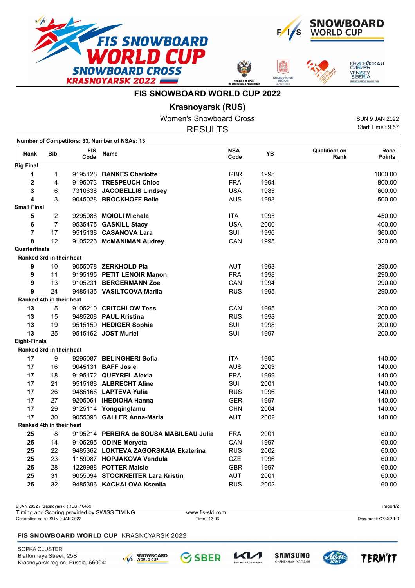







**FIS SNOWBOARD WORLD CUP 2022**

**Krasnoyarsk (RUS)**

|                          |                          |                    | <b>Women's Snowboard Cross</b>                |                    |      |                       | <b>SUN 9 JAN 2022</b> |
|--------------------------|--------------------------|--------------------|-----------------------------------------------|--------------------|------|-----------------------|-----------------------|
|                          |                          |                    | <b>RESULTS</b>                                |                    |      |                       | Start Time: 9:57      |
|                          |                          |                    | Number of Competitors: 33, Number of NSAs: 13 |                    |      |                       |                       |
| Rank                     | <b>Bib</b>               | <b>FIS</b><br>Code | Name                                          | <b>NSA</b><br>Code | YB   | Qualification<br>Rank | Race<br><b>Points</b> |
| <b>Big Final</b>         |                          |                    |                                               |                    |      |                       |                       |
| 1                        | 1                        |                    | 9195128 BANKES Charlotte                      | <b>GBR</b>         | 1995 |                       | 1000.00               |
| 2                        | 4                        |                    | 9195073 TRESPEUCH Chloe                       | <b>FRA</b>         | 1994 |                       | 800.00                |
| 3                        | 6                        |                    | 7310636 JACOBELLIS Lindsey                    | <b>USA</b>         | 1985 |                       | 600.00                |
| 4                        | 3                        |                    | 9045028 BROCKHOFF Belle                       | <b>AUS</b>         | 1993 |                       | 500.00                |
| <b>Small Final</b>       |                          |                    |                                               |                    |      |                       |                       |
| 5                        | 2                        |                    | 9295086 MOIOLI Michela                        | <b>ITA</b>         | 1995 |                       | 450.00                |
| 6                        | $\overline{7}$           |                    | 9535475 GASKILL Stacy                         | <b>USA</b>         | 2000 |                       | 400.00                |
| 7                        | 17                       |                    | 9515138 CASANOVA Lara                         | SUI                | 1996 |                       | 360.00                |
| 8                        | 12                       |                    | 9105226 McMANIMAN Audrey                      | CAN                | 1995 |                       | 320.00                |
| Quarterfinals            |                          |                    |                                               |                    |      |                       |                       |
| Ranked 3rd in their heat |                          |                    |                                               |                    |      |                       |                       |
| 9                        | 10                       |                    | 9055078 ZERKHOLD Pia                          | <b>AUT</b>         | 1998 |                       | 290.00                |
| 9                        | 11                       |                    | 9195195 PETIT LENOIR Manon                    | <b>FRA</b>         | 1998 |                       | 290.00                |
| 9                        | 13                       |                    | 9105231 BERGERMANN Zoe                        | CAN                | 1994 |                       | 290.00                |
| 9                        | 24                       |                    | 9485135 VASILTCOVA Mariia                     | <b>RUS</b>         | 1995 |                       | 290.00                |
| Ranked 4th in their heat |                          |                    |                                               |                    |      |                       |                       |
| 13                       | 5                        |                    | 9105210 CRITCHLOW Tess                        | CAN                | 1995 |                       | 200.00                |
| 13                       | 15                       |                    | 9485208 PAUL Kristina                         | <b>RUS</b>         | 1998 |                       | 200.00                |
| 13                       | 19                       |                    | 9515159 HEDIGER Sophie                        | SUI                | 1998 |                       | 200.00                |
| 13                       | 25                       |                    | 9515162 JOST Muriel                           | SUI                | 1997 |                       | 200.00                |
| <b>Eight-Finals</b>      |                          |                    |                                               |                    |      |                       |                       |
| Ranked 3rd in their heat |                          |                    |                                               |                    |      |                       |                       |
| 17                       | 9                        |                    | 9295087 BELINGHERI Sofia                      | <b>ITA</b>         | 1995 |                       | 140.00                |
| 17                       | 16                       |                    | 9045131 <b>BAFF Josie</b>                     | <b>AUS</b>         | 2003 |                       | 140.00                |
| 17                       | 18                       |                    | 9195172 QUEYREL Alexia                        | <b>FRA</b>         | 1999 |                       | 140.00                |
| 17                       | 21                       |                    | 9515188 ALBRECHT Aline                        | SUI                | 2001 |                       | 140.00                |
| 17                       | 26                       |                    | 9485166 LAPTEVA Yulia                         | <b>RUS</b>         | 1996 |                       | 140.00                |
| 17                       | 27                       |                    | 9205061 IHEDIOHA Hanna                        | <b>GER</b>         | 1997 |                       | 140.00                |
| 17                       | 29                       |                    | 9125114 Yongqinglamu                          | <b>CHN</b>         | 2004 |                       | 140.00                |
| 17                       | 30                       |                    | 9055098 GALLER Anna-Maria                     | <b>AUT</b>         | 2002 |                       | 140.00                |
|                          | Ranked 4th in their heat |                    |                                               |                    |      |                       |                       |
| 25                       | 8                        |                    | 9195214 PEREIRA de SOUSA MABILEAU Julia       | <b>FRA</b>         | 2001 |                       | 60.00                 |
| 25                       | 14                       |                    | 9105295 ODINE Meryeta                         | CAN                | 1997 |                       | 60.00                 |
| 25                       | 22                       |                    | 9485362 LOKTEVA ZAGORSKAIA Ekaterina          | <b>RUS</b>         | 2002 |                       | 60.00                 |
| 25                       | 23                       |                    | 1159987 HOPJAKOVA Vendula                     | CZE                | 1996 |                       | 60.00                 |
| 25                       | 28                       |                    | 1229988 POTTER Maisie                         | <b>GBR</b>         | 1997 |                       | 60.00                 |
| 25                       | 31                       |                    | 9055094 STOCKREITER Lara Kristin              | <b>AUT</b>         | 2001 |                       | 60.00                 |
| 25                       | 32                       |                    | 9485396 KACHALOVA Kseniia                     | <b>RUS</b>         | 2002 |                       | 60.00                 |

9 JAN 2022 / Krasnoyarsk (RUS) / 6459 Page 1/2 Generation date : SUN 9 JAN 2022 Time : 13:03 Document: C73X2 1.0 Timing and Scoring provided by SWISS TIMING www.fis-ski.com

## FIS SNOWBOARD WORLD CUP KRASNOYARSK 2022

SOPKA CLUSTER Biatlonnaya Street, 25B Krasnoyarsk region, Russia, 660041